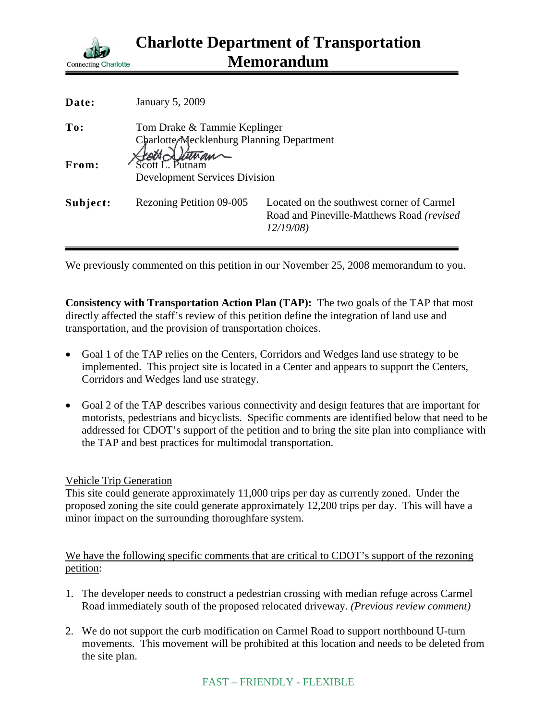

| Date:    | January 5, 2009                                                           |                                                                                                     |
|----------|---------------------------------------------------------------------------|-----------------------------------------------------------------------------------------------------|
| To:      | Tom Drake & Tammie Keplinger<br>Charlotte Mecklenburg Planning Department |                                                                                                     |
| From:    | <b>Development Services Division</b>                                      |                                                                                                     |
| Subject: | Rezoning Petition 09-005                                                  | Located on the southwest corner of Carmel<br>Road and Pineville-Matthews Road (revised)<br>12/19/08 |

We previously commented on this petition in our November 25, 2008 memorandum to you.

**Consistency with Transportation Action Plan (TAP):** The two goals of the TAP that most directly affected the staff's review of this petition define the integration of land use and transportation, and the provision of transportation choices.

- Goal 1 of the TAP relies on the Centers, Corridors and Wedges land use strategy to be implemented. This project site is located in a Center and appears to support the Centers, Corridors and Wedges land use strategy.
- Goal 2 of the TAP describes various connectivity and design features that are important for motorists, pedestrians and bicyclists. Specific comments are identified below that need to be addressed for CDOT's support of the petition and to bring the site plan into compliance with the TAP and best practices for multimodal transportation.

## Vehicle Trip Generation

This site could generate approximately 11,000 trips per day as currently zoned. Under the proposed zoning the site could generate approximately 12,200 trips per day. This will have a minor impact on the surrounding thoroughfare system.

We have the following specific comments that are critical to CDOT's support of the rezoning petition:

- 1. The developer needs to construct a pedestrian crossing with median refuge across Carmel Road immediately south of the proposed relocated driveway. *(Previous review comment)*
- 2. We do not support the curb modification on Carmel Road to support northbound U-turn movements. This movement will be prohibited at this location and needs to be deleted from the site plan.